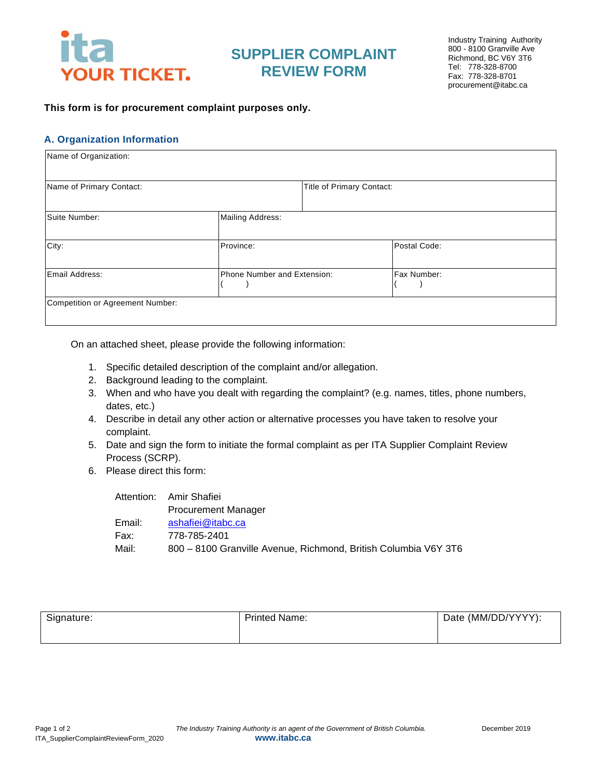

## **SUPPLIER COMPLAINT REVIEW FORM**

#### **This form is for procurement complaint purposes only.**

#### **A. Organization Information**

| Name of Organization:            |                             |                           |              |  |
|----------------------------------|-----------------------------|---------------------------|--------------|--|
| Name of Primary Contact:         |                             | Title of Primary Contact: |              |  |
| Suite Number:                    | <b>Mailing Address:</b>     |                           |              |  |
| City:                            | Province:                   |                           | Postal Code: |  |
| Email Address:                   | Phone Number and Extension: |                           | Fax Number:  |  |
| Competition or Agreement Number: |                             |                           |              |  |

On an attached sheet, please provide the following information:

- 1. Specific detailed description of the complaint and/or allegation.
- 2. Background leading to the complaint.
- 3. When and who have you dealt with regarding the complaint? (e.g. names, titles, phone numbers, dates, etc.)
- 4. Describe in detail any other action or alternative processes you have taken to resolve your complaint.
- 5. Date and sign the form to initiate the formal complaint as per ITA Supplier Complaint Review Process (SCRP).
- 6. Please direct this form:

|        | Attention: Amir Shafiei                                         |
|--------|-----------------------------------------------------------------|
|        | <b>Procurement Manager</b>                                      |
| Email: | ashafiei@itabc.ca                                               |
| Fax:   | 778-785-2401                                                    |
| Mail:  | 800 - 8100 Granville Avenue, Richmond, British Columbia V6Y 3T6 |

| Signature: | <b>Printed Name:</b> | Date (MM/DD/YYYY): |
|------------|----------------------|--------------------|
|            |                      |                    |